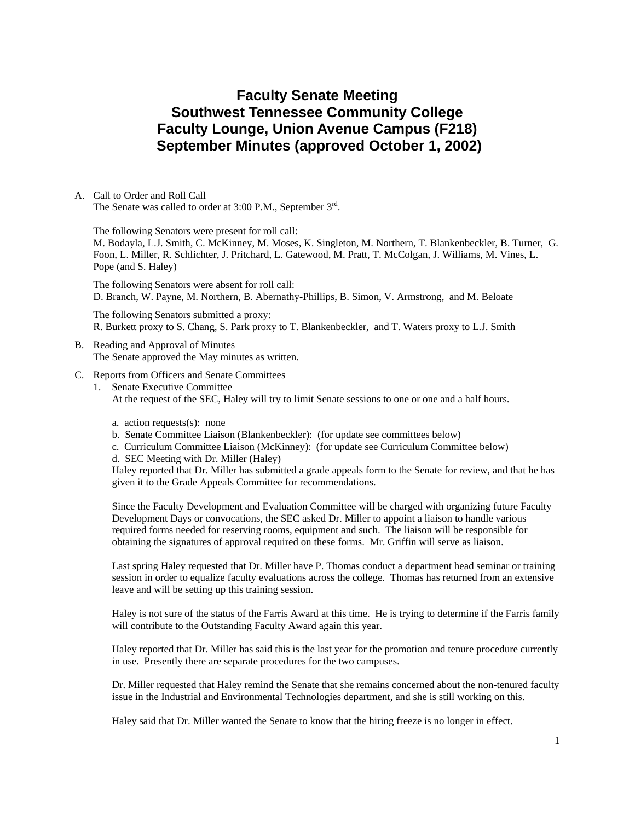# **Faculty Senate Meeting Southwest Tennessee Community College Faculty Lounge, Union Avenue Campus (F218) September Minutes (approved October 1, 2002)**

A. Call to Order and Roll Call The Senate was called to order at 3:00 P.M., September 3<sup>rd</sup>.

The following Senators were present for roll call:

M. Bodayla, L.J. Smith, C. McKinney, M. Moses, K. Singleton, M. Northern, T. Blankenbeckler, B. Turner, G. Foon, L. Miller, R. Schlichter, J. Pritchard, L. Gatewood, M. Pratt, T. McColgan, J. Williams, M. Vines, L. Pope (and S. Haley)

The following Senators were absent for roll call: D. Branch, W. Payne, M. Northern, B. Abernathy-Phillips, B. Simon, V. Armstrong, and M. Beloate

The following Senators submitted a proxy: R. Burkett proxy to S. Chang, S. Park proxy to T. Blankenbeckler, and T. Waters proxy to L.J. Smith

- B. Reading and Approval of Minutes The Senate approved the May minutes as written.
- C. Reports from Officers and Senate Committees
- 1. Senate Executive Committee

At the request of the SEC, Haley will try to limit Senate sessions to one or one and a half hours.

- a. action requests(s): none
- b. Senate Committee Liaison (Blankenbeckler): (for update see committees below)
- c. Curriculum Committee Liaison (McKinney): (for update see Curriculum Committee below)
- d. SEC Meeting with Dr. Miller (Haley)

Haley reported that Dr. Miller has submitted a grade appeals form to the Senate for review, and that he has given it to the Grade Appeals Committee for recommendations.

Since the Faculty Development and Evaluation Committee will be charged with organizing future Faculty Development Days or convocations, the SEC asked Dr. Miller to appoint a liaison to handle various required forms needed for reserving rooms, equipment and such. The liaison will be responsible for obtaining the signatures of approval required on these forms. Mr. Griffin will serve as liaison.

Last spring Haley requested that Dr. Miller have P. Thomas conduct a department head seminar or training session in order to equalize faculty evaluations across the college. Thomas has returned from an extensive leave and will be setting up this training session.

Haley is not sure of the status of the Farris Award at this time. He is trying to determine if the Farris family will contribute to the Outstanding Faculty Award again this year.

Haley reported that Dr. Miller has said this is the last year for the promotion and tenure procedure currently in use. Presently there are separate procedures for the two campuses.

Dr. Miller requested that Haley remind the Senate that she remains concerned about the non-tenured faculty issue in the Industrial and Environmental Technologies department, and she is still working on this.

Haley said that Dr. Miller wanted the Senate to know that the hiring freeze is no longer in effect.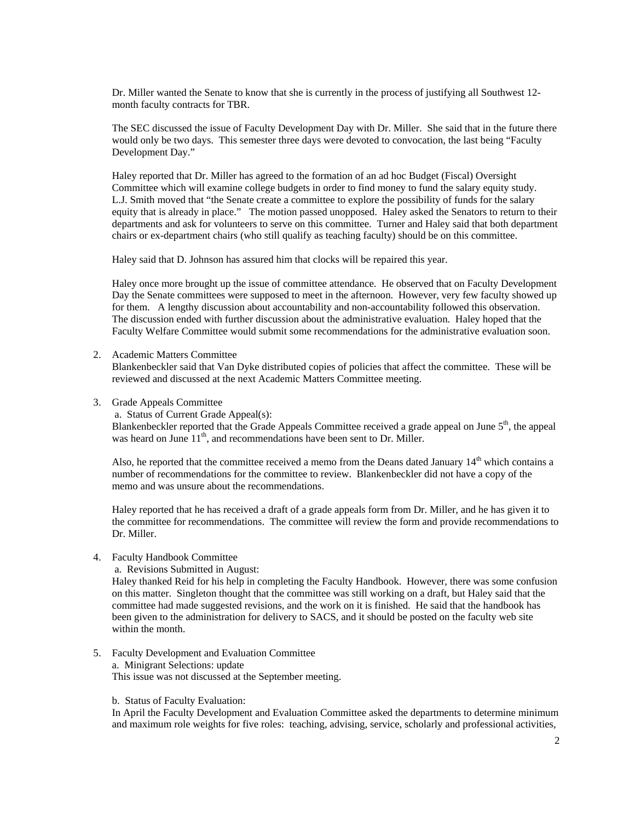Dr. Miller wanted the Senate to know that she is currently in the process of justifying all Southwest 12 month faculty contracts for TBR.

The SEC discussed the issue of Faculty Development Day with Dr. Miller. She said that in the future there would only be two days. This semester three days were devoted to convocation, the last being "Faculty Development Day."

Haley reported that Dr. Miller has agreed to the formation of an ad hoc Budget (Fiscal) Oversight Committee which will examine college budgets in order to find money to fund the salary equity study. L.J. Smith moved that "the Senate create a committee to explore the possibility of funds for the salary equity that is already in place." The motion passed unopposed. Haley asked the Senators to return to their departments and ask for volunteers to serve on this committee. Turner and Haley said that both department chairs or ex-department chairs (who still qualify as teaching faculty) should be on this committee.

Haley said that D. Johnson has assured him that clocks will be repaired this year.

Haley once more brought up the issue of committee attendance. He observed that on Faculty Development Day the Senate committees were supposed to meet in the afternoon. However, very few faculty showed up for them. A lengthy discussion about accountability and non-accountability followed this observation. The discussion ended with further discussion about the administrative evaluation. Haley hoped that the Faculty Welfare Committee would submit some recommendations for the administrative evaluation soon.

2. Academic Matters Committee

Blankenbeckler said that Van Dyke distributed copies of policies that affect the committee. These will be reviewed and discussed at the next Academic Matters Committee meeting.

3. Grade Appeals Committee

a. Status of Current Grade Appeal(s):

Blankenbeckler reported that the Grade Appeals Committee received a grade appeal on June  $5<sup>th</sup>$ , the appeal was heard on June 11<sup>th</sup>, and recommendations have been sent to Dr. Miller.

Also, he reported that the committee received a memo from the Deans dated January  $14<sup>th</sup>$  which contains a number of recommendations for the committee to review. Blankenbeckler did not have a copy of the memo and was unsure about the recommendations.

Haley reported that he has received a draft of a grade appeals form from Dr. Miller, and he has given it to the committee for recommendations. The committee will review the form and provide recommendations to Dr. Miller.

- 4. Faculty Handbook Committee
	- a. Revisions Submitted in August:

Haley thanked Reid for his help in completing the Faculty Handbook. However, there was some confusion on this matter. Singleton thought that the committee was still working on a draft, but Haley said that the committee had made suggested revisions, and the work on it is finished. He said that the handbook has been given to the administration for delivery to SACS, and it should be posted on the faculty web site within the month.

5. Faculty Development and Evaluation Committee a. Minigrant Selections: update This issue was not discussed at the September meeting.

#### b. Status of Faculty Evaluation:

In April the Faculty Development and Evaluation Committee asked the departments to determine minimum and maximum role weights for five roles: teaching, advising, service, scholarly and professional activities,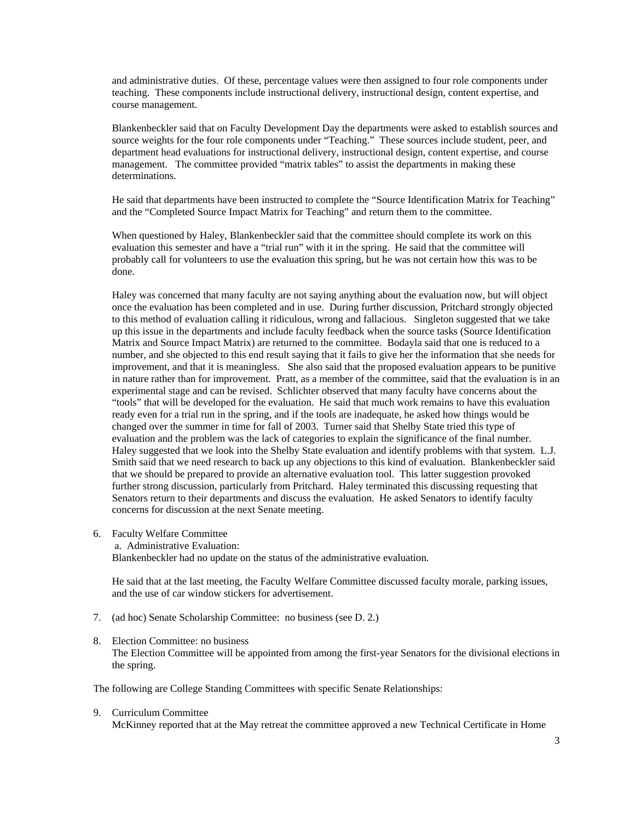and administrative duties. Of these, percentage values were then assigned to four role components under teaching. These components include instructional delivery, instructional design, content expertise, and course management.

Blankenbeckler said that on Faculty Development Day the departments were asked to establish sources and source weights for the four role components under "Teaching." These sources include student, peer, and department head evaluations for instructional delivery, instructional design, content expertise, and course management. The committee provided "matrix tables" to assist the departments in making these determinations.

He said that departments have been instructed to complete the "Source Identification Matrix for Teaching" and the "Completed Source Impact Matrix for Teaching" and return them to the committee.

When questioned by Haley, Blankenbeckler said that the committee should complete its work on this evaluation this semester and have a "trial run" with it in the spring. He said that the committee will probably call for volunteers to use the evaluation this spring, but he was not certain how this was to be done.

Haley was concerned that many faculty are not saying anything about the evaluation now, but will object once the evaluation has been completed and in use. During further discussion, Pritchard strongly objected to this method of evaluation calling it ridiculous, wrong and fallacious. Singleton suggested that we take up this issue in the departments and include faculty feedback when the source tasks (Source Identification Matrix and Source Impact Matrix) are returned to the committee. Bodayla said that one is reduced to a number, and she objected to this end result saying that it fails to give her the information that she needs for improvement, and that it is meaningless. She also said that the proposed evaluation appears to be punitive in nature rather than for improvement. Pratt, as a member of the committee, said that the evaluation is in an experimental stage and can be revised. Schlichter observed that many faculty have concerns about the "tools" that will be developed for the evaluation. He said that much work remains to have this evaluation ready even for a trial run in the spring, and if the tools are inadequate, he asked how things would be changed over the summer in time for fall of 2003. Turner said that Shelby State tried this type of evaluation and the problem was the lack of categories to explain the significance of the final number. Haley suggested that we look into the Shelby State evaluation and identify problems with that system. L.J. Smith said that we need research to back up any objections to this kind of evaluation. Blankenbeckler said that we should be prepared to provide an alternative evaluation tool. This latter suggestion provoked further strong discussion, particularly from Pritchard. Haley terminated this discussing requesting that Senators return to their departments and discuss the evaluation. He asked Senators to identify faculty concerns for discussion at the next Senate meeting.

- 6. Faculty Welfare Committee
	- a. Administrative Evaluation:

Blankenbeckler had no update on the status of the administrative evaluation.

He said that at the last meeting, the Faculty Welfare Committee discussed faculty morale, parking issues, and the use of car window stickers for advertisement.

7. (ad hoc) Senate Scholarship Committee: no business (see D. 2.)

## 8. Election Committee: no business The Election Committee will be appointed from among the first-year Senators for the divisional elections in the spring.

The following are College Standing Committees with specific Senate Relationships:

```
9. Curriculum Committee
```
McKinney reported that at the May retreat the committee approved a new Technical Certificate in Home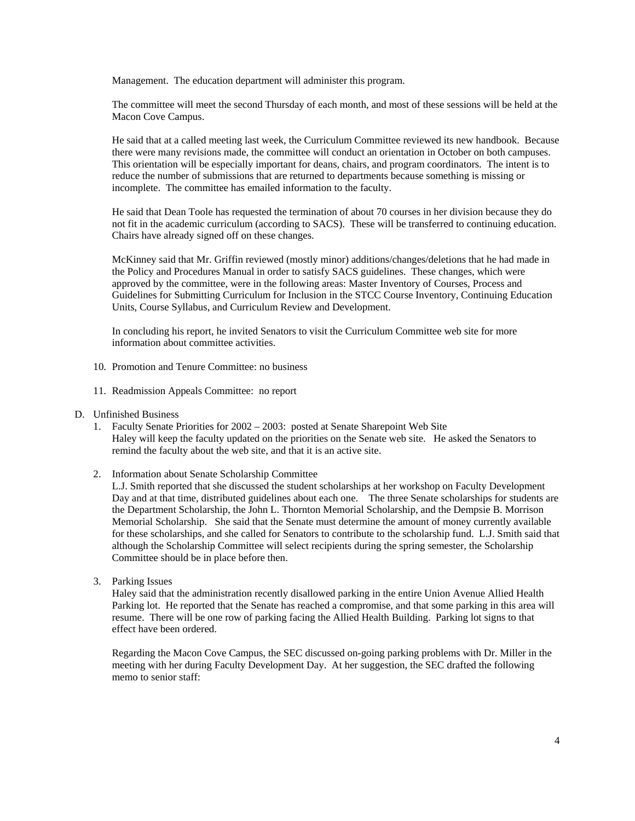Management. The education department will administer this program.

The committee will meet the second Thursday of each month, and most of these sessions will be held at the Macon Cove Campus.

He said that at a called meeting last week, the Curriculum Committee reviewed its new handbook. Because there were many revisions made, the committee will conduct an orientation in October on both campuses. This orientation will be especially important for deans, chairs, and program coordinators. The intent is to reduce the number of submissions that are returned to departments because something is missing or incomplete. The committee has emailed information to the faculty.

He said that Dean Toole has requested the termination of about 70 courses in her division because they do not fit in the academic curriculum (according to SACS). These will be transferred to continuing education. Chairs have already signed off on these changes.

McKinney said that Mr. Griffin reviewed (mostly minor) additions/changes/deletions that he had made in the Policy and Procedures Manual in order to satisfy SACS guidelines. These changes, which were approved by the committee, were in the following areas: Master Inventory of Courses, Process and Guidelines for Submitting Curriculum for Inclusion in the STCC Course Inventory, Continuing Education Units, Course Syllabus, and Curriculum Review and Development.

In concluding his report, he invited Senators to visit the Curriculum Committee web site for more information about committee activities.

- 10. Promotion and Tenure Committee: no business
- 11. Readmission Appeals Committee: no report
- D. Unfinished Business
	- 1. Faculty Senate Priorities for 2002 2003: posted at Senate Sharepoint Web Site Haley will keep the faculty updated on the priorities on the Senate web site. He asked the Senators to remind the faculty about the web site, and that it is an active site.
	- 2. Information about Senate Scholarship Committee

L.J. Smith reported that she discussed the student scholarships at her workshop on Faculty Development Day and at that time, distributed guidelines about each one. The three Senate scholarships for students are the Department Scholarship, the John L. Thornton Memorial Scholarship, and the Dempsie B. Morrison Memorial Scholarship. She said that the Senate must determine the amount of money currently available for these scholarships, and she called for Senators to contribute to the scholarship fund. L.J. Smith said that although the Scholarship Committee will select recipients during the spring semester, the Scholarship Committee should be in place before then.

3. Parking Issues

Haley said that the administration recently disallowed parking in the entire Union Avenue Allied Health Parking lot. He reported that the Senate has reached a compromise, and that some parking in this area will resume. There will be one row of parking facing the Allied Health Building. Parking lot signs to that effect have been ordered.

Regarding the Macon Cove Campus, the SEC discussed on-going parking problems with Dr. Miller in the meeting with her during Faculty Development Day. At her suggestion, the SEC drafted the following memo to senior staff: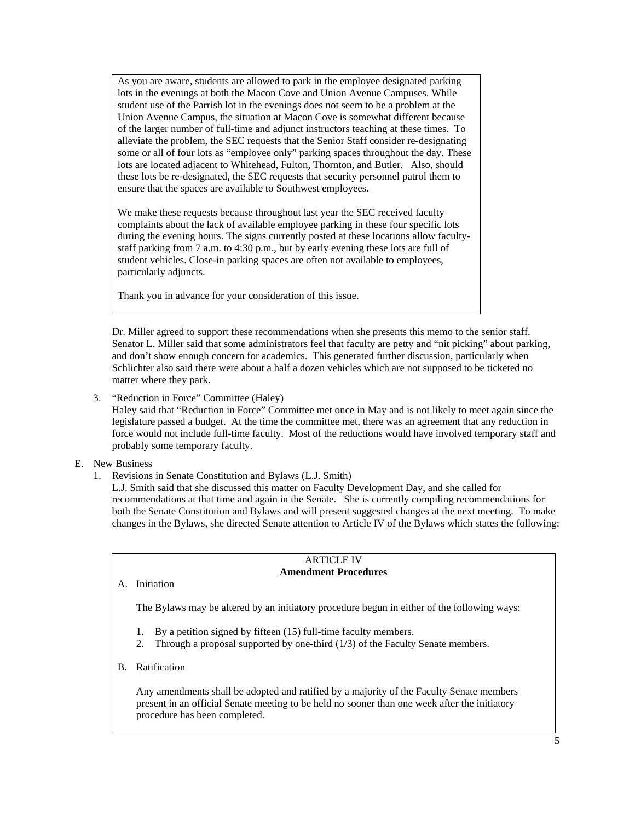As you are aware, students are allowed to park in the employee designated parking lots in the evenings at both the Macon Cove and Union Avenue Campuses. While student use of the Parrish lot in the evenings does not seem to be a problem at the Union Avenue Campus, the situation at Macon Cove is somewhat different because of the larger number of full-time and adjunct instructors teaching at these times. To alleviate the problem, the SEC requests that the Senior Staff consider re-designating some or all of four lots as "employee only" parking spaces throughout the day. These lots are located adjacent to Whitehead, Fulton, Thornton, and Butler. Also, should these lots be re-designated, the SEC requests that security personnel patrol them to ensure that the spaces are available to Southwest employees.

We make these requests because throughout last year the SEC received faculty complaints about the lack of available employee parking in these four specific lots during the evening hours. The signs currently posted at these locations allow facultystaff parking from 7 a.m. to 4:30 p.m., but by early evening these lots are full of student vehicles. Close-in parking spaces are often not available to employees, particularly adjuncts.

Thank you in advance for your consideration of this issue.

Dr. Miller agreed to support these recommendations when she presents this memo to the senior staff. Senator L. Miller said that some administrators feel that faculty are petty and "nit picking" about parking, and don't show enough concern for academics. This generated further discussion, particularly when Schlichter also said there were about a half a dozen vehicles which are not supposed to be ticketed no matter where they park.

3. "Reduction in Force" Committee (Haley)

Haley said that "Reduction in Force" Committee met once in May and is not likely to meet again since the legislature passed a budget. At the time the committee met, there was an agreement that any reduction in force would not include full-time faculty. Most of the reductions would have involved temporary staff and probably some temporary faculty.

- E. New Business
	- 1. Revisions in Senate Constitution and Bylaws (L.J. Smith)

L.J. Smith said that she discussed this matter on Faculty Development Day, and she called for recommendations at that time and again in the Senate. She is currently compiling recommendations for both the Senate Constitution and Bylaws and will present suggested changes at the next meeting. To make changes in the Bylaws, she directed Senate attention to Article IV of the Bylaws which states the following:

#### ARTICLE IV **Amendment Procedures**

A. Initiation

The Bylaws may be altered by an initiatory procedure begun in either of the following ways:

- 1. By a petition signed by fifteen (15) full-time faculty members.
- 2. Through a proposal supported by one-third (1/3) of the Faculty Senate members.
- B. Ratification

Any amendments shall be adopted and ratified by a majority of the Faculty Senate members present in an official Senate meeting to be held no sooner than one week after the initiatory procedure has been completed.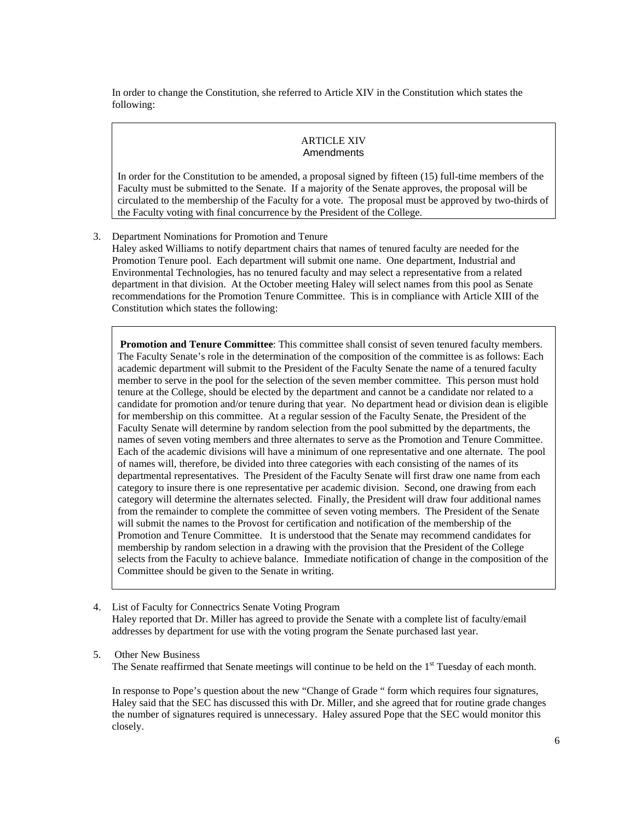In order to change the Constitution, she referred to Article XIV in the Constitution which states the following:

#### ARTICLE XIV Amendments

In order for the Constitution to be amended, a proposal signed by fifteen (15) full-time members of the Faculty must be submitted to the Senate. If a majority of the Senate approves, the proposal will be circulated to the membership of the Faculty for a vote. The proposal must be approved by two-thirds of the Faculty voting with final concurrence by the President of the College.

3. Department Nominations for Promotion and Tenure Haley asked Williams to notify department chairs that names of tenured faculty are needed for the Promotion Tenure pool. Each department will submit one name. One department, Industrial and Environmental Technologies, has no tenured faculty and may select a representative from a related department in that division. At the October meeting Haley will select names from this pool as Senate recommendations for the Promotion Tenure Committee. This is in compliance with Article XIII of the

Constitution which states the following:

**Promotion and Tenure Committee**: This committee shall consist of seven tenured faculty members. The Faculty Senate's role in the determination of the composition of the committee is as follows: Each academic department will submit to the President of the Faculty Senate the name of a tenured faculty member to serve in the pool for the selection of the seven member committee. This person must hold tenure at the College, should be elected by the department and cannot be a candidate nor related to a candidate for promotion and/or tenure during that year. No department head or division dean is eligible for membership on this committee. At a regular session of the Faculty Senate, the President of the Faculty Senate will determine by random selection from the pool submitted by the departments, the names of seven voting members and three alternates to serve as the Promotion and Tenure Committee. Each of the academic divisions will have a minimum of one representative and one alternate. The pool of names will, therefore, be divided into three categories with each consisting of the names of its departmental representatives. The President of the Faculty Senate will first draw one name from each category to insure there is one representative per academic division. Second, one drawing from each category will determine the alternates selected. Finally, the President will draw four additional names from the remainder to complete the committee of seven voting members. The President of the Senate will submit the names to the Provost for certification and notification of the membership of the Promotion and Tenure Committee. It is understood that the Senate may recommend candidates for membership by random selection in a drawing with the provision that the President of the College selects from the Faculty to achieve balance. Immediate notification of change in the composition of the Committee should be given to the Senate in writing.

- 4. List of Faculty for Connectrics Senate Voting Program Haley reported that Dr. Miller has agreed to provide the Senate with a complete list of faculty/email addresses by department for use with the voting program the Senate purchased last year.
- 5. Other New Business The Senate reaffirmed that Senate meetings will continue to be held on the 1<sup>st</sup> Tuesday of each month.

In response to Pope's question about the new "Change of Grade " form which requires four signatures, Haley said that the SEC has discussed this with Dr. Miller, and she agreed that for routine grade changes the number of signatures required is unnecessary. Haley assured Pope that the SEC would monitor this closely.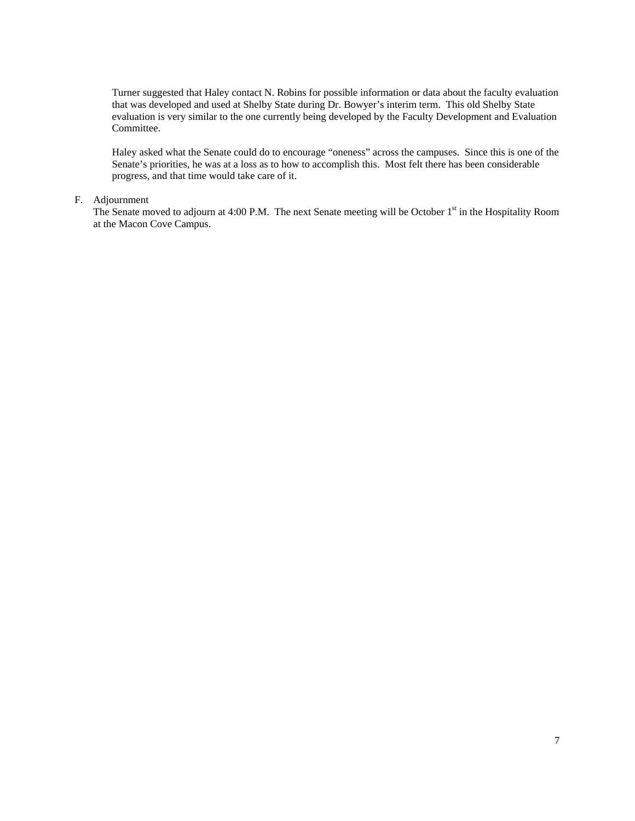Turner suggested that Haley contact N. Robins for possible information or data about the faculty evaluation that was developed and used at Shelby State during Dr. Bowyer's interim term. This old Shelby State evaluation is very similar to the one currently being developed by the Faculty Development and Evaluation Committee.

Haley asked what the Senate could do to encourage "oneness" across the campuses. Since this is one of the Senate's priorities, he was at a loss as to how to accomplish this. Most felt there has been considerable progress, and that time would take care of it.

#### F. Adjournment

The Senate moved to adjourn at 4:00 P.M. The next Senate meeting will be October 1<sup>st</sup> in the Hospitality Room at the Macon Cove Campus.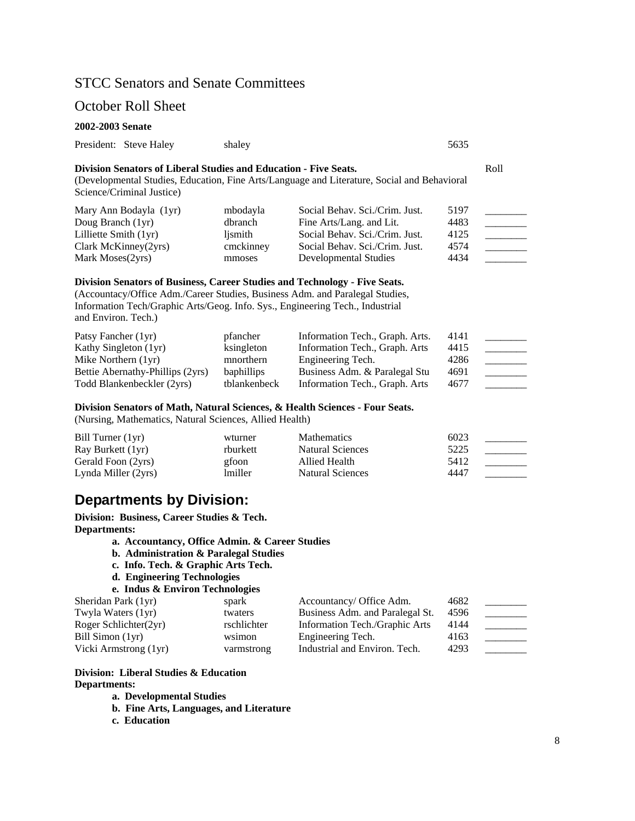## STCC Senators and Senate Committees

## October Roll Sheet

#### **2002-2003 Senate**

|  | President: Steve Haley | shalev | 5635 |
|--|------------------------|--------|------|
|--|------------------------|--------|------|

## **Division Senators of Liberal Studies and Education - Five Seats.** Roll

(Developmental Studies, Education, Fine Arts/Language and Literature, Social and Behavioral Science/Criminal Justice)

| Mary Ann Bodayla (1yr)          | mbodayla  | Social Behav. Sci./Crim. Just. | 5197 |  |
|---------------------------------|-----------|--------------------------------|------|--|
| Doug Branch (1yr)               | dbranch   | Fine Arts/Lang. and Lit.       | 4483 |  |
| Lilliette Smith $(1yr)$         | lismith   | Social Behav. Sci./Crim. Just. | 4125 |  |
| $Clark$ McKinney $(2\gamma rs)$ | cmckinney | Social Behav. Sci./Crim. Just. | 4574 |  |
| Mark Moses (2yrs)               | mmoses    | Developmental Studies          | 4434 |  |

#### **Division Senators of Business, Career Studies and Technology - Five Seats.**

(Accountacy/Office Adm./Career Studies, Business Adm. and Paralegal Studies, Information Tech/Graphic Arts/Geog. Info. Sys., Engineering Tech., Industrial and Environ. Tech.)

| Patsy Fancher (1yr)              | pfancher          | Information Tech., Graph. Arts. | 4141 |  |
|----------------------------------|-------------------|---------------------------------|------|--|
| Kathy Singleton (1yr)            | ksingleton        | Information Tech., Graph. Arts  | 4415 |  |
| Mike Northern $(1yr)$            | mnorthern         | Engineering Tech.               | 4286 |  |
| Bettie Abernathy-Phillips (2yrs) | <b>baphillips</b> | Business Adm. & Paralegal Stu   | 4691 |  |
| Todd Blankenbeckler (2yrs)       | tblankenbeck      | Information Tech., Graph. Arts  | 4677 |  |

#### **Division Senators of Math, Natural Sciences, & Health Sciences - Four Seats.**

(Nursing, Mathematics, Natural Sciences, Allied Health)

| Bill Turner $(1yr)$ | wturner  | <b>Mathematics</b>      | 6023 |  |
|---------------------|----------|-------------------------|------|--|
| Ray Burkett (1yr)   | rburkett | Natural Sciences        | 5225 |  |
| Gerald Foon (2yrs)  | gfoon    | Allied Health           | 5412 |  |
| Lynda Miller (2yrs) | lmiller  | <b>Natural Sciences</b> | 4447 |  |

# **Departments by Division:**

**Division: Business, Career Studies & Tech. Departments:** 

- **a. Accountancy, Office Admin. & Career Studies**
- **b. Administration & Paralegal Studies**
- **c. Info. Tech. & Graphic Arts Tech.**
- **d. Engineering Technologies**

```
e. Indus & Environ Technologies
```

| Sheridan Park (1yr)   | spark       | Accountancy/ Office Adm.        | 4682 |  |
|-----------------------|-------------|---------------------------------|------|--|
| Twyla Waters (1yr)    | twaters     | Business Adm. and Paralegal St. | 4596 |  |
| Roger Schlichter(2yr) | rschlichter | Information Tech./Graphic Arts  | 4144 |  |
| Bill Simon (1yr)      | wsimon      | Engineering Tech.               | 4163 |  |
| Vicki Armstrong (1yr) | varmstrong  | Industrial and Environ. Tech.   | 4293 |  |

## **Division: Liberal Studies & Education Departments:**

**a. Developmental Studies** 

- **b. Fine Arts, Languages, and Literature**
- **c. Education**